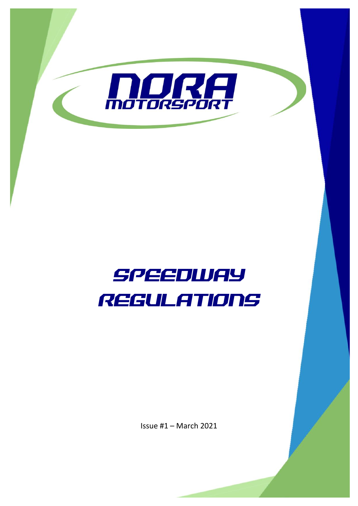

# SPEEDWAY REGULATIONS

Issue #1 – March 2021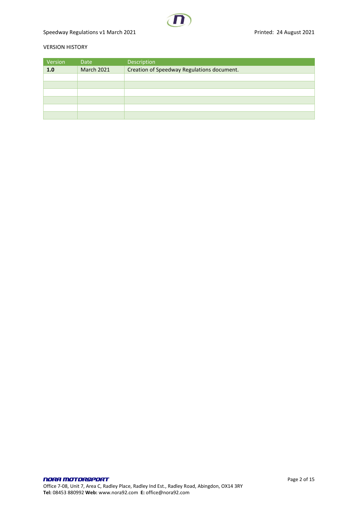# Speedway Regulations v1 March 2021 **Printed: 24 August 2021**

#### VERSION HISTORY

| Version | Date              | Description                                |
|---------|-------------------|--------------------------------------------|
| 1.0     | <b>March 2021</b> | Creation of Speedway Regulations document. |
|         |                   |                                            |
|         |                   |                                            |
|         |                   |                                            |
|         |                   |                                            |
|         |                   |                                            |
|         |                   |                                            |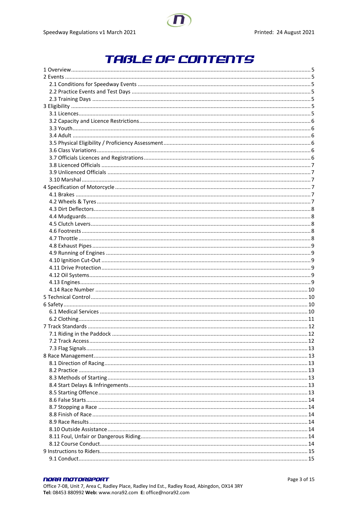# **TABLE OF CONTENTS**

#### **NORA MOTORSPORT**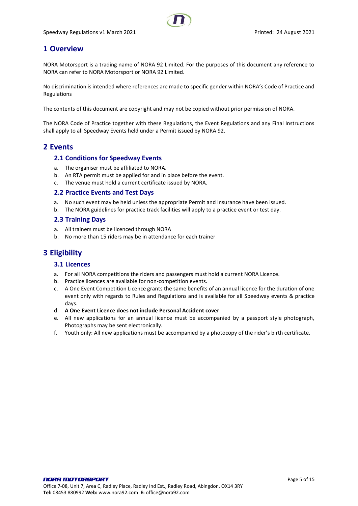# <span id="page-4-0"></span>**1 Overview**

NORA Motorsport is a trading name of NORA 92 Limited. For the purposes of this document any reference to NORA can refer to NORA Motorsport or NORA 92 Limited.

No discrimination is intended where references are made to specific gender within NORA's Code of Practice and Regulations

The contents of this document are copyright and may not be copied without prior permission of NORA.

The NORA Code of Practice together with these Regulations, the Event Regulations and any Final Instructions shall apply to all Speedway Events held under a Permit issued by NORA 92.

# <span id="page-4-2"></span><span id="page-4-1"></span>**2 Events**

#### **2.1 Conditions for Speedway Events**

- a. The organiser must be affiliated to NORA.
- b. An RTA permit must be applied for and in place before the event.
- c. The venue must hold a current certificate issued by NORA.

#### <span id="page-4-3"></span>**2.2 Practice Events and Test Days**

- a. No such event may be held unless the appropriate Permit and Insurance have been issued.
- b. The NORA guidelines for practice track facilities will apply to a practice event or test day.

#### <span id="page-4-4"></span>**2.3 Training Days**

- a. All trainers must be licenced through NORA
- b. No more than 15 riders may be in attendance for each trainer

# <span id="page-4-6"></span><span id="page-4-5"></span>**3 Eligibility**

#### **3.1 Licences**

- a. For all NORA competitions the riders and passengers must hold a current NORA Licence.
- b. Practice licences are available for non-competition events.
- c. A One Event Competition Licence grants the same benefits of an annual licence for the duration of one event only with regards to Rules and Regulations and is available for all Speedway events & practice days.
- d. **A One Event Licence does not include Personal Accident cover**.
- e. All new applications for an annual licence must be accompanied by a passport style photograph, Photographs may be sent electronically.
- f. Youth only: All new applications must be accompanied by a photocopy of the rider's birth certificate.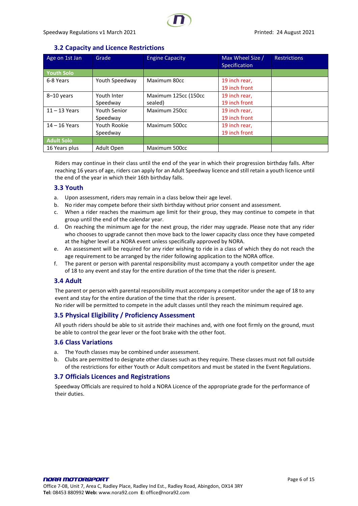# **3.2 Capacity and Licence Restrictions**

<span id="page-5-0"></span>

| Age on 1st Jan    | Grade          | <b>Engine Capacity</b> | Max Wheel Size /<br>Specification | <b>Restrictions</b> |
|-------------------|----------------|------------------------|-----------------------------------|---------------------|
| <b>Youth Solo</b> |                |                        |                                   |                     |
| 6-8 Years         | Youth Speedway | Maximum 80cc           | 19 inch rear,                     |                     |
|                   |                |                        | 19 inch front                     |                     |
| 8-10 years        | Youth Inter    | Maximum 125cc (150cc   | 19 inch rear,                     |                     |
|                   | Speedway       | sealed)                | 19 inch front                     |                     |
| $11 - 13$ Years   | Youth Senior   | Maximum 250cc          | 19 inch rear,                     |                     |
|                   | Speedway       |                        | 19 inch front                     |                     |
| $14 - 16$ Years   | Youth Rookie   | Maximum 500cc          | 19 inch rear,                     |                     |
|                   | Speedway       |                        | 19 inch front                     |                     |
| <b>Adult Solo</b> |                |                        |                                   |                     |
| 16 Years plus     | Adult Open     | Maximum 500cc          |                                   |                     |

Riders may continue in their class until the end of the year in which their progression birthday falls. After reaching 16 years of age, riders can apply for an Adult Speedway licence and still retain a youth licence until the end of the year in which their 16th birthday falls.

#### <span id="page-5-1"></span>**3.3 Youth**

- a. Upon assessment, riders may remain in a class below their age level.
- b. No rider may compete before their sixth birthday without prior consent and assessment.
- c. When a rider reaches the maximum age limit for their group, they may continue to compete in that group until the end of the calendar year.
- d. On reaching the minimum age for the next group, the rider may upgrade. Please note that any rider who chooses to upgrade cannot then move back to the lower capacity class once they have competed at the higher level at a NORA event unless specifically approved by NORA.
- e. An assessment will be required for any rider wishing to ride in a class of which they do not reach the age requirement to be arranged by the rider following application to the NORA office.
- f. The parent or person with parental responsibility must accompany a youth competitor under the age of 18 to any event and stay for the entire duration of the time that the rider is present.

#### <span id="page-5-2"></span>**3.4 Adult**

The parent or person with parental responsibility must accompany a competitor under the age of 18 to any event and stay for the entire duration of the time that the rider is present.

No rider will be permitted to compete in the adult classes until they reach the minimum required age.

#### <span id="page-5-3"></span>**3.5 Physical Eligibility / Proficiency Assessment**

All youth riders should be able to sit astride their machines and, with one foot firmly on the ground, must be able to control the gear lever or the foot brake with the other foot.

#### <span id="page-5-4"></span>**3.6 Class Variations**

- a. The Youth classes may be combined under assessment.
- b. Clubs are permitted to designate other classes such as they require. These classes must not fall outside of the restrictions for either Youth or Adult competitors and must be stated in the Event Regulations.

#### <span id="page-5-5"></span>**3.7 Officials Licences and Registrations**

Speedway Officials are required to hold a NORA Licence of the appropriate grade for the performance of their duties.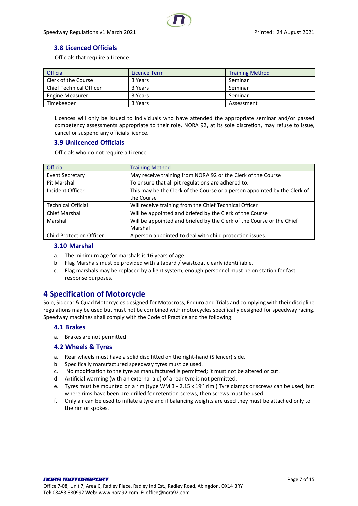# <span id="page-6-0"></span>**3.8 Licenced Officials**

Officials that require a Licence.

| <b>Official</b>                | Licence Term | <b>Training Method</b> |
|--------------------------------|--------------|------------------------|
| Clerk of the Course            | 3 Years      | Seminar                |
| <b>Chief Technical Officer</b> | 3 Years      | Seminar                |
| <b>Engine Measurer</b>         | 3 Years      | Seminar                |
| Timekeeper                     | 3 Years      | Assessment             |

Licences will only be issued to individuals who have attended the appropriate seminar and/or passed competency assessments appropriate to their role. NORA 92, at its sole discretion, may refuse to issue, cancel or suspend any officials licence.

#### <span id="page-6-1"></span>**3.9 Unlicenced Officials**

Officials who do not require a Licence

| <b>Official</b>                 | <b>Training Method</b>                                                    |
|---------------------------------|---------------------------------------------------------------------------|
| <b>Event Secretary</b>          | May receive training from NORA 92 or the Clerk of the Course              |
| Pit Marshal                     | To ensure that all pit regulations are adhered to.                        |
| Incident Officer                | This may be the Clerk of the Course or a person appointed by the Clerk of |
|                                 | the Course                                                                |
| <b>Technical Official</b>       | Will receive training from the Chief Technical Officer                    |
| <b>Chief Marshal</b>            | Will be appointed and briefed by the Clerk of the Course                  |
| Marshal                         | Will be appointed and briefed by the Clerk of the Course or the Chief     |
|                                 | Marshal                                                                   |
| <b>Child Protection Officer</b> | A person appointed to deal with child protection issues.                  |

#### <span id="page-6-2"></span>**3.10 Marshal**

- a. The minimum age for marshals is 16 years of age.
- b. Flag Marshals must be provided with a tabard / waistcoat clearly identifiable.
- c. Flag marshals may be replaced by a light system, enough personnel must be on station for fast response purposes.

# <span id="page-6-3"></span>**4 Specification of Motorcycle**

Solo, Sidecar & Quad Motorcycles designed for Motocross, Enduro and Trials and complying with their discipline regulations may be used but must not be combined with motorcycles specifically designed for speedway racing. Speedway machines shall comply with the Code of Practice and the following:

#### <span id="page-6-4"></span>**4.1 Brakes**

a. Brakes are not permitted.

#### <span id="page-6-5"></span>**4.2 Wheels & Tyres**

- a. Rear wheels must have a solid disc fitted on the right-hand (Silencer) side.
- b. Specifically manufactured speedway tyres must be used.
- c. No modification to the tyre as manufactured is permitted; it must not be altered or cut.
- d. Artificial warming (with an external aid) of a rear tyre is not permitted.
- e. Tyres must be mounted on a rim (type WM 3 2.15 x 19'' rim.) Tyre clamps or screws can be used, but where rims have been pre-drilled for retention screws, then screws must be used.
- f. Only air can be used to inflate a tyre and if balancing weights are used they must be attached only to the rim or spokes.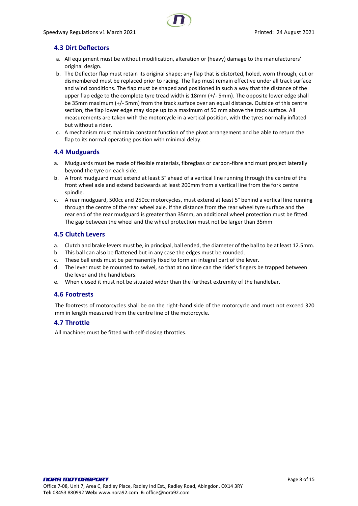# <span id="page-7-0"></span>**4.3 Dirt Deflectors**

- a. All equipment must be without modification, alteration or (heavy) damage to the manufacturers' original design.
- b. The Deflector flap must retain its original shape; any flap that is distorted, holed, worn through, cut or dismembered must be replaced prior to racing. The flap must remain effective under all track surface and wind conditions. The flap must be shaped and positioned in such a way that the distance of the upper flap edge to the complete tyre tread width is 18mm (+/- 5mm). The opposite lower edge shall be 35mm maximum (+/- 5mm) from the track surface over an equal distance. Outside of this centre section, the flap lower edge may slope up to a maximum of 50 mm above the track surface. All measurements are taken with the motorcycle in a vertical position, with the tyres normally inflated but without a rider.
- c. A mechanism must maintain constant function of the pivot arrangement and be able to return the flap to its normal operating position with minimal delay.

# <span id="page-7-1"></span>**4.4 Mudguards**

- a. Mudguards must be made of flexible materials, fibreglass or carbon-fibre and must project laterally beyond the tyre on each side.
- b. A front mudguard must extend at least 5° ahead of a vertical line running through the centre of the front wheel axle and extend backwards at least 200mm from a vertical line from the fork centre spindle.
- c. A rear mudguard, 500cc and 250cc motorcycles, must extend at least 5° behind a vertical line running through the centre of the rear wheel axle. If the distance from the rear wheel tyre surface and the rear end of the rear mudguard is greater than 35mm, an additional wheel protection must be fitted. The gap between the wheel and the wheel protection must not be larger than 35mm

# <span id="page-7-2"></span>**4.5 Clutch Levers**

- a. Clutch and brake levers must be, in principal, ball ended, the diameter of the ball to be at least 12.5mm.
- b. This ball can also be flattened but in any case the edges must be rounded.
- c. These ball ends must be permanently fixed to form an integral part of the lever.
- d. The lever must be mounted to swivel, so that at no time can the rider's fingers be trapped between the lever and the handlebars.
- e. When closed it must not be situated wider than the furthest extremity of the handlebar.

#### <span id="page-7-3"></span>**4.6 Footrests**

The footrests of motorcycles shall be on the right-hand side of the motorcycle and must not exceed 320 mm in length measured from the centre line of the motorcycle.

# <span id="page-7-4"></span>**4.7 Throttle**

All machines must be fitted with self-closing throttles.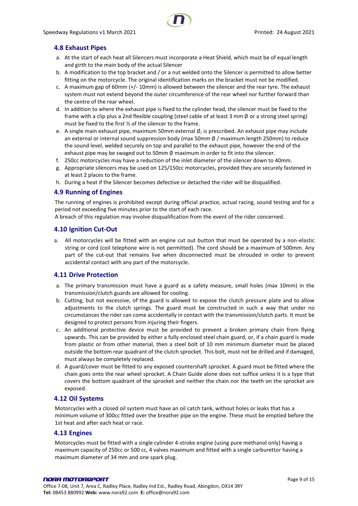# <span id="page-8-0"></span>**4.8 Exhaust Pipes**

- a. At the start of each heat all Silencers must incorporate a Heat Shield, which must be of equal length and girth to the main body of the actual Silencer
- b. A modification to the top bracket and / or a nut welded onto the Silencer is permitted to allow better fitting on the motorcycle. The original identification marks on the bracket must not be modified.
- c. A maximum gap of 60mm (+/- 10mm) is allowed between the silencer and the rear tyre. The exhaust system must not extend beyond the outer circumference of the rear wheel nor further forward than the centre of the rear wheel.
- d. In addition to where the exhaust pipe is fixed to the cylinder head, the silencer must be fixed to the frame with a clip plus a 2nd flexible coupling (steel cable of at least 3 mm  $\emptyset$  or a strong steel spring) must be fixed to the first ⅓ of the silencer to the frame.
- e. A single main exhaust pipe, maximum 50mm external Ø, is prescribed. An exhaust pipe may include an external or internal sound suppression body (max 50mm ∅ / maximum length 250mm) to reduce the sound level, welded securely on top and parallel to the exhaust pipe, however the end of the exhaust pipe may be swaged out to 50mm  $\emptyset$  maximum in order to fit into the silencer.
- f. 250cc motorcycles may have a reduction of the inlet diameter of the silencer down to 40mm.
- g. Appropriate silencers may be used on 125/150cc motorcycles, provided they are securely fastened in at least 2 places to the frame.
- h. During a heat if the Silencer becomes defective or detached the rider will be disqualified.

#### <span id="page-8-1"></span>**4.9 Running of Engines**

The running of engines is prohibited except during official practice, actual racing, sound testing and for a period not exceeding five minutes prior to the start of each race.

A breach of this regulation may involve disqualification from the event of the rider concerned.

#### <span id="page-8-2"></span>**4.10 Ignition Cut-Out**

a. All motorcycles will be fitted with an engine cut out button that must be operated by a non-elastic string or cord (coil telephone wire is not permitted). The cord should be a maximum of 500mm. Any part of the cut-out that remains live when disconnected must be shrouded in order to prevent accidental contact with any part of the motorcycle.

#### <span id="page-8-3"></span>**4.11 Drive Protection**

- a. The primary transmission must have a guard as a safety measure, small holes (max 10mm) in the transmission/clutch guards are allowed for cooling.
- b. Cutting, but not excessive, of the guard is allowed to expose the clutch pressure plate and to allow adjustments to the clutch springs. The guard must be constructed in such a way that under no circumstances the rider can come accidentally in contact with the transmission/clutch parts. It must be designed to protect persons from injuring their fingers.
- c. An additional protective device must be provided to prevent a broken primary chain from flying upwards. This can be provided by either a fully enclosed steel chain guard, or, if a chain guard is made from plastic or from other material, then a steel bolt of 10 mm minimum diameter must be placed outside the bottom rear quadrant of the clutch sprocket. This bolt, must not be drilled and if damaged, must always be completely replaced.
- d. A guard/cover must be fitted to any exposed countershaft sprocket. A guard must be fitted where the chain goes onto the rear wheel sprocket. A Chain Guide alone does not suffice unless it is a type that covers the bottom quadrant of the sprocket and neither the chain nor the teeth on the sprocket are exposed.

#### <span id="page-8-4"></span>**4.12 Oil Systems**

Motorcycles with a closed oil system must have an oil catch tank, without holes or leaks that has a minimum volume of 300cc fitted over the breather pipe on the engine. These must be emptied before the 1st heat and after each heat or race.

#### <span id="page-8-5"></span>**4.13 Engines**

Motorcycles must be fitted with a single cylinder 4-stroke engine (using pure methanol only) having a maximum capacity of 250cc or 500 cc, 4 valves maximum and fitted with a single carburettor having a maximum diameter of 34 mm and one spark plug.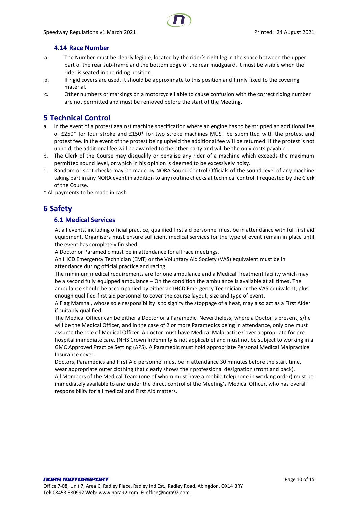#### **4.14 Race Number**

- <span id="page-9-0"></span>a. The Number must be clearly legible, located by the rider's right leg in the space between the upper part of the rear sub-frame and the bottom edge of the rear mudguard. It must be visible when the rider is seated in the riding position.
- b. If rigid covers are used, it should be approximate to this position and firmly fixed to the covering material.
- c. Other numbers or markings on a motorcycle liable to cause confusion with the correct riding number are not permitted and must be removed before the start of the Meeting.

# <span id="page-9-1"></span>**5 Technical Control**

- a. In the event of a protest against machine specification where an engine has to be stripped an additional fee of £250\* for four stroke and £150\* for two stroke machines MUST be submitted with the protest and protest fee. In the event of the protest being upheld the additional fee will be returned. If the protest is not upheld, the additional fee will be awarded to the other party and will be the only costs payable.
- b. The Clerk of the Course may disqualify or penalise any rider of a machine which exceeds the maximum permitted sound level, or which in his opinion is deemed to be excessively noisy.
- c. Random or spot checks may be made by NORA Sound Control Officials of the sound level of any machine taking part in any NORA event in addition to any routine checks at technical control if requested by the Clerk of the Course.

<span id="page-9-2"></span>\* All payments to be made in cash

# <span id="page-9-3"></span>**6 Safety**

#### **6.1 Medical Services**

At all events, including official practice, qualified first aid personnel must be in attendance with full first aid equipment. Organisers must ensure sufficient medical services for the type of event remain in place until the event has completely finished.

A Doctor or Paramedic must be in attendance for all race meetings.

An IHCD Emergency Technician (EMT) or the Voluntary Aid Society (VAS) equivalent must be in attendance during official practice and racing

The minimum medical requirements are for one ambulance and a Medical Treatment facility which may be a second fully equipped ambulance – On the condition the ambulance is available at all times. The ambulance should be accompanied by either an IHCD Emergency Technician or the VAS equivalent, plus enough qualified first aid personnel to cover the course layout, size and type of event.

A Flag Marshal, whose sole responsibility is to signify the stoppage of a heat, may also act as a First Aider if suitably qualified.

The Medical Officer can be either a Doctor or a Paramedic. Nevertheless, where a Doctor is present, s/he will be the Medical Officer, and in the case of 2 or more Paramedics being in attendance, only one must assume the role of Medical Officer. A doctor must have Medical Malpractice Cover appropriate for prehospital immediate care, (NHS Crown Indemnity is not applicable) and must not be subject to working in a GMC Approved Practice Setting (APS). A Paramedic must hold appropriate Personal Medical Malpractice Insurance cover.

Doctors, Paramedics and First Aid personnel must be in attendance 30 minutes before the start time, wear appropriate outer clothing that clearly shows their professional designation (front and back). All Members of the Medical Team (one of whom must have a mobile telephone in working order) must be immediately available to and under the direct control of the Meeting's Medical Officer, who has overall responsibility for all medical and First Aid matters.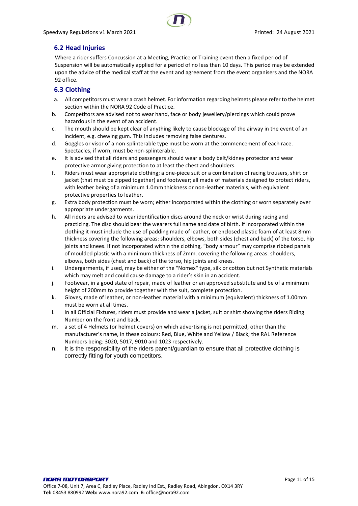# <span id="page-10-0"></span>**6.2 Head Injuries**

Where a rider suffers Concussion at a Meeting, Practice or Training event then a fixed period of Suspension will be automatically applied for a period of no less than 10 days. This period may be extended upon the advice of the medical staff at the event and agreement from the event organisers and the NORA 92 office.

# **6.3 Clothing**

- a. All competitors must wear a crash helmet. For information regarding helmets please refer to the helmet section within the NORA 92 Code of Practice.
- b. Competitors are advised not to wear hand, face or body jewellery/piercings which could prove hazardous in the event of an accident.
- c. The mouth should be kept clear of anything likely to cause blockage of the airway in the event of an incident, e.g. chewing gum. This includes removing false dentures.
- d. Goggles or visor of a non-splinterable type must be worn at the commencement of each race. Spectacles, if worn, must be non-splinterable.
- e. It is advised that all riders and passengers should wear a body belt/kidney protector and wear protective armor giving protection to at least the chest and shoulders.
- f. Riders must wear appropriate clothing; a one-piece suit or a combination of racing trousers, shirt or jacket (that must be zipped together) and footwear; all made of materials designed to protect riders, with leather being of a minimum 1.0mm thickness or non-leather materials, with equivalent protective properties to leather.
- g. Extra body protection must be worn; either incorporated within the clothing or worn separately over appropriate undergarments.
- h. All riders are advised to wear identification discs around the neck or wrist during racing and practicing. The disc should bear the wearers full name and date of birth. If incorporated within the clothing it must include the use of padding made of leather, or enclosed plastic foam of at least 8mm thickness covering the following areas: shoulders, elbows, both sides (chest and back) of the torso, hip joints and knees. If not incorporated within the clothing, "body armour" may comprise ribbed panels of moulded plastic with a minimum thickness of 2mm. covering the following areas: shoulders, elbows, both sides (chest and back) of the torso, hip joints and knees.
- i. Undergarments, if used, may be either of the "Nomex" type, silk or cotton but not Synthetic materials which may melt and could cause damage to a rider's skin in an accident.
- j. Footwear, in a good state of repair, made of leather or an approved substitute and be of a minimum height of 200mm to provide together with the suit, complete protection.
- k. Gloves, made of leather, or non-leather material with a minimum (equivalent) thickness of 1.00mm must be worn at all times.
- l. In all Official Fixtures, riders must provide and wear a jacket, suit or shirt showing the riders Riding Number on the front and back.
- m. a set of 4 Helmets (or helmet covers) on which advertising is not permitted, other than the manufacturer's name, in these colours: Red, Blue, White and Yellow / Black; the RAL Reference Numbers being: 3020, 5017, 9010 and 1023 respectively.
- n. It is the responsibility of the riders parent/guardian to ensure that all protective clothing is correctly fitting for youth competitors.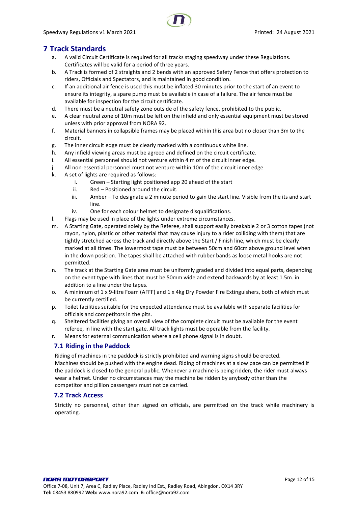# <span id="page-11-0"></span>**7 Track Standards**

- a. A valid Circuit Certificate is required for all tracks staging speedway under these Regulations. Certificates will be valid for a period of three years.
- b. A Track is formed of 2 straights and 2 bends with an approved Safety Fence that offers protection to riders, Officials and Spectators, and is maintained in good condition.
- c. If an additional air fence is used this must be inflated 30 minutes prior to the start of an event to ensure its integrity, a spare pump must be available in case of a failure. The air fence must be available for inspection for the circuit certificate.
- d. There must be a neutral safety zone outside of the safety fence, prohibited to the public.
- e. A clear neutral zone of 10m must be left on the infield and only essential equipment must be stored unless with prior approval from NORA 92.
- f. Material banners in collapsible frames may be placed within this area but no closer than 3m to the circuit.
- g. The inner circuit edge must be clearly marked with a continuous white line.
- h. Any infield viewing areas must be agreed and defined on the circuit certificate.
- i. All essential personnel should not venture within 4 m of the circuit inner edge.
- j. All non-essential personnel must not venture within 10m of the circuit inner edge.
- k. A set of lights are required as follows:
	- i. Green Starting light positioned app 20 ahead of the start
	- ii. Red Positioned around the circuit.
	- iii. Amber To designate a 2 minute period to gain the start line. Visible from the its and start line.
	- iv. One for each colour helmet to designate disqualifications.
- l. Flags may be used in place of the lights under extreme circumstances.
- m. A Starting Gate, operated solely by the Referee, shall support easily breakable 2 or 3 cotton tapes (not rayon, nylon, plastic or other material that may cause injury to a rider colliding with them) that are tightly stretched across the track and directly above the Start / Finish line, which must be clearly marked at all times. The lowermost tape must be between 50cm and 60cm above ground level when in the down position. The tapes shall be attached with rubber bands as loose metal hooks are not permitted.
- n. The track at the Starting Gate area must be uniformly graded and divided into equal parts, depending on the event type with lines that must be 50mm wide and extend backwards by at least 1.5m. in addition to a line under the tapes.
- o. A minimum of 1 x 9-litre Foam (AFFF) and 1 x 4kg Dry Powder Fire Extinguishers, both of which must be currently certified.
- p. Toilet facilities suitable for the expected attendance must be available with separate facilities for officials and competitors in the pits.
- q. Sheltered facilities giving an overall view of the complete circuit must be available for the event referee, in line with the start gate. All track lights must be operable from the facility.
- <span id="page-11-1"></span>r. Means for external communication where a cell phone signal is in doubt.

#### **7.1 Riding in the Paddock**

Riding of machines in the paddock is strictly prohibited and warning signs should be erected. Machines should be pushed with the engine dead. Riding of machines at a slow pace can be permitted if the paddock is closed to the general public. Whenever a machine is being ridden, the rider must always wear a helmet. Under no circumstances may the machine be ridden by anybody other than the competitor and pillion passengers must not be carried.

#### <span id="page-11-2"></span>**7.2 Track Access**

Strictly no personnel, other than signed on officials, are permitted on the track while machinery is operating.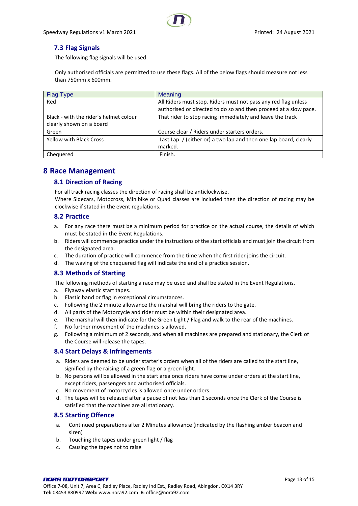# <span id="page-12-0"></span>**7.3 Flag Signals**

The following flag signals will be used:

Only authorised officials are permitted to use these flags. All of the below flags should measure not less than 750mm x 600mm.

| <b>Flag Type</b>                       | Meaning                                                           |
|----------------------------------------|-------------------------------------------------------------------|
| Red                                    | All Riders must stop. Riders must not pass any red flag unless    |
|                                        | authorised or directed to do so and then proceed at a slow pace.  |
| Black - with the rider's helmet colour | That rider to stop racing immediately and leave the track         |
| clearly shown on a board               |                                                                   |
| Green                                  | Course clear / Riders under starters orders.                      |
| <b>Yellow with Black Cross</b>         | Last Lap. / (either or) a two lap and then one lap board, clearly |
|                                        | marked.                                                           |
| Chequered                              | Finish.                                                           |

# <span id="page-12-2"></span><span id="page-12-1"></span>**8 Race Management**

#### **8.1 Direction of Racing**

For all track racing classes the direction of racing shall be anticlockwise.

Where Sidecars, Motocross, Minibike or Quad classes are included then the direction of racing may be clockwise if stated in the event regulations.

#### <span id="page-12-3"></span>**8.2 Practice**

- a. For any race there must be a minimum period for practice on the actual course, the details of which must be stated in the Event Regulations.
- b. Riders will commence practice under the instructions of the start officials and must join the circuit from the designated area.
- c. The duration of practice will commence from the time when the first rider joins the circuit.
- d. The waving of the chequered flag will indicate the end of a practice session.

#### <span id="page-12-4"></span>**8.3 Methods of Starting**

The following methods of starting a race may be used and shall be stated in the Event Regulations.

- a. Flyaway elastic start tapes.
- b. Elastic band or flag in exceptional circumstances.
- c. Following the 2 minute allowance the marshal will bring the riders to the gate.
- d. All parts of the Motorcycle and rider must be within their designated area.
- e. The marshal will then indicate for the Green Light / Flag and walk to the rear of the machines.
- f. No further movement of the machines is allowed.
- g. Following a minimum of 2 seconds, and when all machines are prepared and stationary, the Clerk of the Course will release the tapes.

#### <span id="page-12-5"></span>**8.4 Start Delays & Infringements**

- a. Riders are deemed to be under starter's orders when all of the riders are called to the start line, signified by the raising of a green flag or a green light.
- b. No persons will be allowed in the start area once riders have come under orders at the start line, except riders, passengers and authorised officials.
- c. No movement of motorcycles is allowed once under orders.
- d. The tapes will be released after a pause of not less than 2 seconds once the Clerk of the Course is satisfied that the machines are all stationary.

#### <span id="page-12-6"></span>**8.5 Starting Offence**

- a. Continued preparations after 2 Minutes allowance (indicated by the flashing amber beacon and siren)
- b. Touching the tapes under green light / flag
- c. Causing the tapes not to raise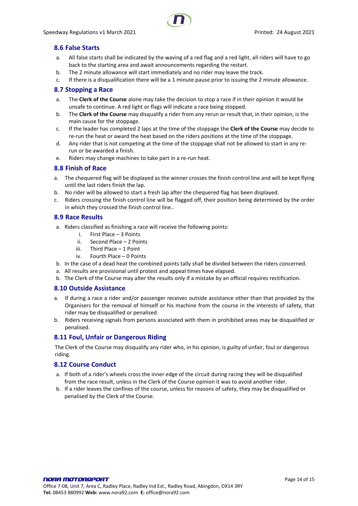

# <span id="page-13-0"></span>**8.6 False Starts**

- a. All false starts shall be indicated by the waving of a red flag and a red light, all riders will have to go back to the starting area and await announcements regarding the restart.
- b. The 2 minute allowance will start immediately and no rider may leave the track.
- c. If there is a disqualification there will be a 1 minute pause prior to issuing the 2 minute allowance.

#### <span id="page-13-1"></span>**8.7 Stopping a Race**

- a. The **Clerk of the Course** alone may take the decision to stop a race if in their opinion it would be unsafe to continue. A red light or flags will indicate a race being stopped.
- b. The **Clerk of the Course** may disqualify a rider from any rerun or result that, in their opinion, is the main cause for the stoppage.
- c. If the leader has completed 2 laps at the time of the stoppage the **Clerk of the Course** may decide to re-run the heat or award the heat based on the riders positions at the time of the stoppage.
- d. Any rider that is not competing at the time of the stoppage shall not be allowed to start in any rerun or be awarded a finish.
- e. Riders may change machines to take part in a re-run heat.

#### <span id="page-13-2"></span>**8.8 Finish of Race**

- a. The chequered flag will be displayed as the winner crosses the finish control line and will be kept flying until the last riders finish the lap.
- b. No rider will be allowed to start a fresh lap after the chequered flag has been displayed.
- c. Riders crossing the finish control line will be flagged off, their position being determined by the order in which they crossed the finish control line..

#### <span id="page-13-3"></span>**8.9 Race Results**

- a. Riders classified as finishing a race will receive the following points:
	- i. First Place 3 Points
	- ii. Second Place 2 Points
	- iii. Third Place 1 Point
	- iv. Fourth Place 0 Points
- b. In the case of a dead heat the combined points tally shall be divided between the riders concerned.
- a. All results are provisional until protest and appeal times have elapsed.
- b. The Clerk of the Course may alter the results only if a mistake by an official requires rectification.

#### <span id="page-13-4"></span>**8.10 Outside Assistance**

- a. If during a race a rider and/or passenger receives outside assistance other than that provided by the Organisers for the removal of himself or his machine from the course in the interests of safety, that rider may be disqualified or penalised.
- b. Riders receiving signals from persons associated with them in prohibited areas may be disqualified or penalised.

#### <span id="page-13-5"></span>**8.11 Foul, Unfair or Dangerous Riding**

The Clerk of the Course may disqualify any rider who, in his opinion, is guilty of unfair, foul or dangerous riding.

#### <span id="page-13-6"></span>**8.12 Course Conduct**

- a. If both of a rider's wheels cross the inner edge of the circuit during racing they will be disqualified from the race result, unless in the Clerk of the Course opinion it was to avoid another rider.
- b. If a rider leaves the confines of the course, unless for reasons of safety, they may be disqualified or penalised by the Clerk of the Course.